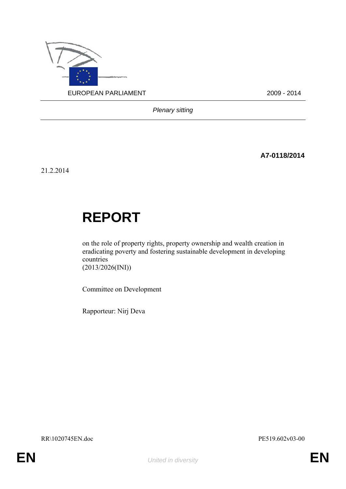

*Plenary sitting* 

**A7-0118/2014** 

21.2.2014

# **REPORT**

on the role of property rights, property ownership and wealth creation in eradicating poverty and fostering sustainable development in developing countries (2013/2026(INI))

Committee on Development

Rapporteur: Nirj Deva

RR\1020745EN.doc PE519.602v03-00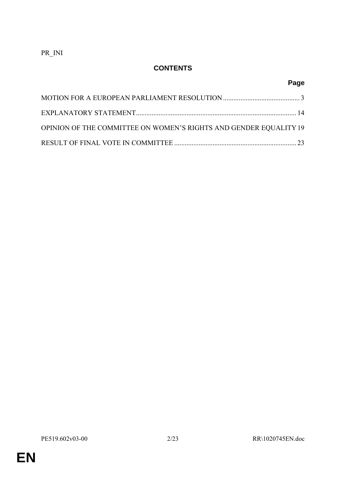PR\_INI

# **CONTENTS**

# **Page**

| OPINION OF THE COMMITTEE ON WOMEN'S RIGHTS AND GENDER EQUALITY 19 |  |
|-------------------------------------------------------------------|--|
|                                                                   |  |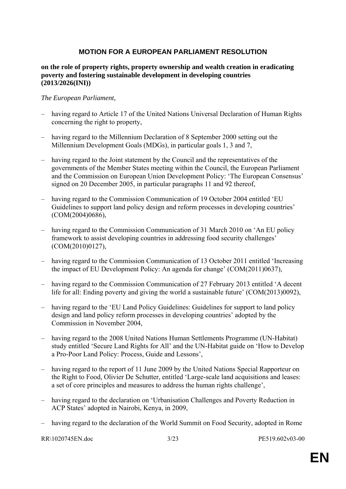### **MOTION FOR A EUROPEAN PARLIAMENT RESOLUTION**

#### **on the role of property rights, property ownership and wealth creation in eradicating poverty and fostering sustainable development in developing countries (2013/2026(INI))**

#### *The European Parliament,*

- having regard to Article 17 of the United Nations Universal Declaration of Human Rights concerning the right to property,
- having regard to the Millennium Declaration of 8 September 2000 setting out the Millennium Development Goals (MDGs), in particular goals 1, 3 and 7,
- having regard to the Joint statement by the Council and the representatives of the governments of the Member States meeting within the Council, the European Parliament and the Commission on European Union Development Policy: 'The European Consensus' signed on 20 December 2005, in particular paragraphs 11 and 92 thereof,
- having regard to the Commission Communication of 19 October 2004 entitled 'EU Guidelines to support land policy design and reform processes in developing countries' (COM(2004)0686),
- having regard to the Commission Communication of 31 March 2010 on 'An EU policy framework to assist developing countries in addressing food security challenges' (COM(2010)0127),
- having regard to the Commission Communication of 13 October 2011 entitled 'Increasing the impact of EU Development Policy: An agenda for change' (COM(2011)0637),
- having regard to the Commission Communication of 27 February 2013 entitled 'A decent life for all: Ending poverty and giving the world a sustainable future' (COM(2013)0092),
- having regard to the 'EU Land Policy Guidelines: Guidelines for support to land policy design and land policy reform processes in developing countries' adopted by the Commission in November 2004,
- having regard to the 2008 United Nations Human Settlements Programme (UN-Habitat) study entitled 'Secure Land Rights for All' and the UN-Habitat guide on 'How to Develop a Pro-Poor Land Policy: Process, Guide and Lessons',
- having regard to the report of 11 June 2009 by the United Nations Special Rapporteur on the Right to Food, Olivier De Schutter, entitled 'Large-scale land acquisitions and leases: a set of core principles and measures to address the human rights challenge',
- having regard to the declaration on 'Urbanisation Challenges and Poverty Reduction in ACP States' adopted in Nairobi, Kenya, in 2009,
- having regard to the declaration of the World Summit on Food Security, adopted in Rome

RR\1020745EN.doc 3/23 PE519.602v03-00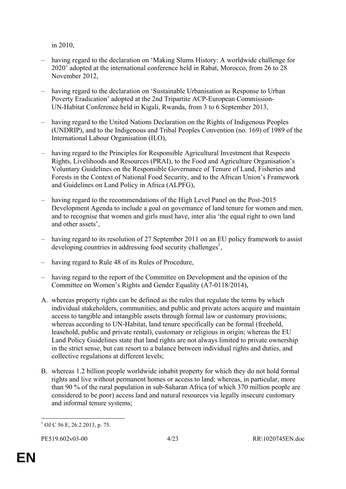in 2010,

- having regard to the declaration on 'Making Slums History: A worldwide challenge for 2020' adopted at the international conference held in Rabat, Morocco, from 26 to 28 November 2012,
- having regard to the declaration on 'Sustainable Urbanisation as Response to Urban Poverty Eradication' adopted at the 2nd Tripartite ACP-European Commission-UN-Habitat Conference held in Kigali, Rwanda, from 3 to 6 September 2013,
- having regard to the United Nations Declaration on the Rights of Indigenous Peoples (UNDRIP), and to the Indigenous and Tribal Peoples Convention (no. 169) of 1989 of the International Labour Organisation (ILO),
- having regard to the Principles for Responsible Agricultural Investment that Respects Rights, Livelihoods and Resources (PRAI), to the Food and Agriculture Organisation's Voluntary Guidelines on the Responsible Governance of Tenure of Land, Fisheries and Forests in the Context of National Food Security, and to the African Union's Framework and Guidelines on Land Policy in Africa (ALPFG),
- having regard to the recommendations of the High Level Panel on the Post-2015 Development Agenda to include a goal on governance of land tenure for women and men, and to recognise that women and girls must have, inter alia 'the equal right to own land and other assets',
- having regard to its resolution of 27 September 2011 on an EU policy framework to assist developing countries in addressing food security challenges<sup>1</sup>,
- having regard to Rule 48 of its Rules of Procedure,
- having regard to the report of the Committee on Development and the opinion of the Committee on Women's Rights and Gender Equality (A7-0118/2014),
- A. whereas property rights can be defined as the rules that regulate the terms by which individual stakeholders, communities, and public and private actors acquire and maintain access to tangible and intangible assets through formal law or customary provisions; whereas according to UN-Habitat, land tenure specifically can be formal (freehold, leasehold, public and private rental), customary or religious in origin; whereas the EU Land Policy Guidelines state that land rights are not always limited to private ownership in the strict sense, but can resort to a balance between individual rights and duties, and collective regulations at different levels;
- B. whereas 1.2 billion people worldwide inhabit property for which they do not hold formal rights and live without permanent homes or access to land; whereas, in particular, more than 90 % of the rural population in sub-Saharan Africa (of which 370 million people are considered to be poor) access land and natural resources via legally insecure customary and informal tenure systems;

<sup>1</sup>  $1$  OJ C 56 E, 26.2.2013, p. 75.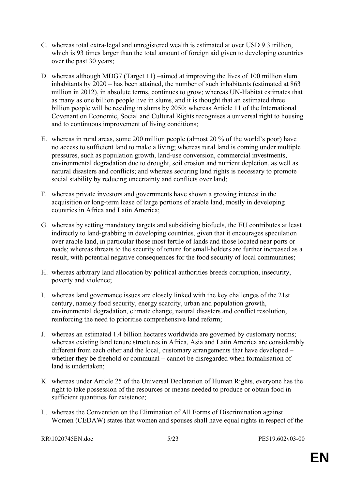- C. whereas total extra-legal and unregistered wealth is estimated at over USD 9.3 trillion, which is 93 times larger than the total amount of foreign aid given to developing countries over the past 30 years;
- D. whereas although MDG7 (Target 11) –aimed at improving the lives of 100 million slum inhabitants by 2020 – has been attained, the number of such inhabitants (estimated at 863 million in 2012), in absolute terms, continues to grow; whereas UN-Habitat estimates that as many as one billion people live in slums, and it is thought that an estimated three billion people will be residing in slums by 2050; whereas Article 11 of the International Covenant on Economic, Social and Cultural Rights recognises a universal right to housing and to continuous improvement of living conditions;
- E. whereas in rural areas, some 200 million people (almost 20 % of the world's poor) have no access to sufficient land to make a living; whereas rural land is coming under multiple pressures, such as population growth, land-use conversion, commercial investments, environmental degradation due to drought, soil erosion and nutrient depletion, as well as natural disasters and conflicts; and whereas securing land rights is necessary to promote social stability by reducing uncertainty and conflicts over land;
- F. whereas private investors and governments have shown a growing interest in the acquisition or long-term lease of large portions of arable land, mostly in developing countries in Africa and Latin America;
- G. whereas by setting mandatory targets and subsidising biofuels, the EU contributes at least indirectly to land-grabbing in developing countries, given that it encourages speculation over arable land, in particular those most fertile of lands and those located near ports or roads; whereas threats to the security of tenure for small-holders are further increased as a result, with potential negative consequences for the food security of local communities;
- H. whereas arbitrary land allocation by political authorities breeds corruption, insecurity, poverty and violence;
- I. whereas land governance issues are closely linked with the key challenges of the 21st century, namely food security, energy scarcity, urban and population growth, environmental degradation, climate change, natural disasters and conflict resolution, reinforcing the need to prioritise comprehensive land reform;
- J. whereas an estimated 1.4 billion hectares worldwide are governed by customary norms; whereas existing land tenure structures in Africa, Asia and Latin America are considerably different from each other and the local, customary arrangements that have developed – whether they be freehold or communal – cannot be disregarded when formalisation of land is undertaken;
- K. whereas under Article 25 of the Universal Declaration of Human Rights, everyone has the right to take possession of the resources or means needed to produce or obtain food in sufficient quantities for existence;
- L. whereas the Convention on the Elimination of All Forms of Discrimination against Women (CEDAW) states that women and spouses shall have equal rights in respect of the

RR\1020745EN.doc 5/23 PE519.602v03-00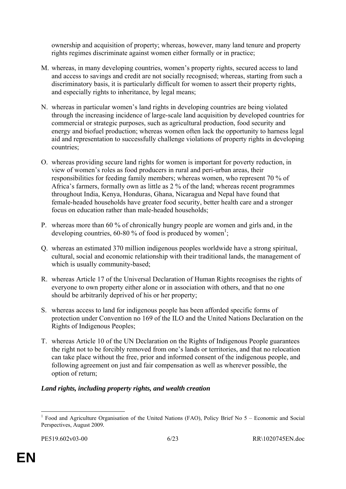ownership and acquisition of property; whereas, however, many land tenure and property rights regimes discriminate against women either formally or in practice;

- M. whereas, in many developing countries, women's property rights, secured access to land and access to savings and credit are not socially recognised; whereas, starting from such a discriminatory basis, it is particularly difficult for women to assert their property rights, and especially rights to inheritance, by legal means;
- N. whereas in particular women's land rights in developing countries are being violated through the increasing incidence of large-scale land acquisition by developed countries for commercial or strategic purposes, such as agricultural production, food security and energy and biofuel production; whereas women often lack the opportunity to harness legal aid and representation to successfully challenge violations of property rights in developing countries;
- O. whereas providing secure land rights for women is important for poverty reduction, in view of women's roles as food producers in rural and peri-urban areas, their responsibilities for feeding family members; whereas women, who represent 70 % of Africa's farmers, formally own as little as 2 % of the land; whereas recent programmes throughout India, Kenya, Honduras, Ghana, Nicaragua and Nepal have found that female-headed households have greater food security, better health care and a stronger focus on education rather than male-headed households;
- P. whereas more than 60 % of chronically hungry people are women and girls and, in the developing countries,  $60-80$  % of food is produced by women<sup>1</sup>;
- Q. whereas an estimated 370 million indigenous peoples worldwide have a strong spiritual, cultural, social and economic relationship with their traditional lands, the management of which is usually community-based;
- R. whereas Article 17 of the Universal Declaration of Human Rights recognises the rights of everyone to own property either alone or in association with others, and that no one should be arbitrarily deprived of his or her property;
- S. whereas access to land for indigenous people has been afforded specific forms of protection under Convention no 169 of the ILO and the United Nations Declaration on the Rights of Indigenous Peoples;
- T. whereas Article 10 of the UN Declaration on the Rights of Indigenous People guarantees the right not to be forcibly removed from one's lands or territories, and that no relocation can take place without the free, prior and informed consent of the indigenous people, and following agreement on just and fair compensation as well as wherever possible, the option of return;

#### *Land rights, including property rights, and wealth creation*

<sup>&</sup>lt;u>.</u> <sup>1</sup> Food and Agriculture Organisation of the United Nations (FAO), Policy Brief No 5 – Economic and Social Perspectives, August 2009*.*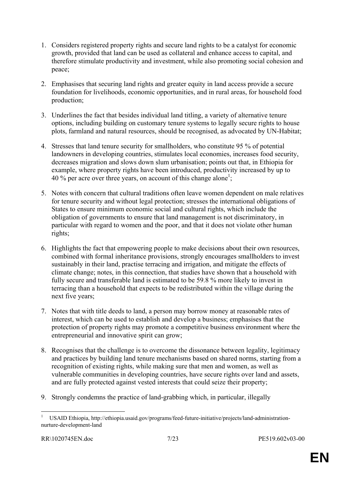- 1. Considers registered property rights and secure land rights to be a catalyst for economic growth, provided that land can be used as collateral and enhance access to capital, and therefore stimulate productivity and investment, while also promoting social cohesion and peace;
- 2. Emphasises that securing land rights and greater equity in land access provide a secure foundation for livelihoods, economic opportunities, and in rural areas, for household food production;
- 3. Underlines the fact that besides individual land titling, a variety of alternative tenure options, including building on customary tenure systems to legally secure rights to house plots, farmland and natural resources, should be recognised, as advocated by UN-Habitat;
- 4. Stresses that land tenure security for smallholders, who constitute 95 % of potential landowners in developing countries, stimulates local economies, increases food security, decreases migration and slows down slum urbanisation; points out that, in Ethiopia for example, where property rights have been introduced, productivity increased by up to 40 % per acre over three years, on account of this change alone<sup>1</sup>;
- 5. Notes with concern that cultural traditions often leave women dependent on male relatives for tenure security and without legal protection; stresses the international obligations of States to ensure minimum economic social and cultural rights, which include the obligation of governments to ensure that land management is not discriminatory, in particular with regard to women and the poor, and that it does not violate other human rights;
- 6. Highlights the fact that empowering people to make decisions about their own resources, combined with formal inheritance provisions, strongly encourages smallholders to invest sustainably in their land, practise terracing and irrigation, and mitigate the effects of climate change; notes, in this connection, that studies have shown that a household with fully secure and transferable land is estimated to be 59.8 % more likely to invest in terracing than a household that expects to be redistributed within the village during the next five years;
- 7. Notes that with title deeds to land, a person may borrow money at reasonable rates of interest, which can be used to establish and develop a business; emphasises that the protection of property rights may promote a competitive business environment where the entrepreneurial and innovative spirit can grow;
- 8. Recognises that the challenge is to overcome the dissonance between legality, legitimacy and practices by building land tenure mechanisms based on shared norms, starting from a recognition of existing rights, while making sure that men and women, as well as vulnerable communities in developing countries, have secure rights over land and assets, and are fully protected against vested interests that could seize their property;
- 9. Strongly condemns the practice of land-grabbing which, in particular, illegally

<sup>&</sup>lt;u>.</u> 1 USAID Ethiopia, http://ethiopia.usaid.gov/programs/feed-future-initiative/projects/land-administrationnurture-development-land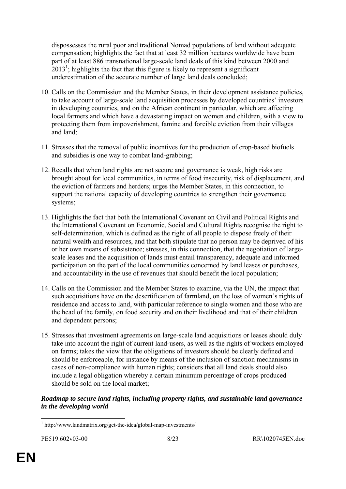dispossesses the rural poor and traditional Nomad populations of land without adequate compensation; highlights the fact that at least 32 million hectares worldwide have been part of at least 886 transnational large-scale land deals of this kind between 2000 and  $2013<sup>1</sup>$ ; highlights the fact that this figure is likely to represent a significant underestimation of the accurate number of large land deals concluded;

- 10. Calls on the Commission and the Member States, in their development assistance policies, to take account of large-scale land acquisition processes by developed countries' investors in developing countries, and on the African continent in particular, which are affecting local farmers and which have a devastating impact on women and children, with a view to protecting them from impoverishment, famine and forcible eviction from their villages and land;
- 11. Stresses that the removal of public incentives for the production of crop-based biofuels and subsidies is one way to combat land-grabbing;
- 12. Recalls that when land rights are not secure and governance is weak, high risks are brought about for local communities, in terms of food insecurity, risk of displacement, and the eviction of farmers and herders; urges the Member States, in this connection, to support the national capacity of developing countries to strengthen their governance systems;
- 13. Highlights the fact that both the International Covenant on Civil and Political Rights and the International Covenant on Economic, Social and Cultural Rights recognise the right to self-determination, which is defined as the right of all people to dispose freely of their natural wealth and resources, and that both stipulate that no person may be deprived of his or her own means of subsistence; stresses, in this connection, that the negotiation of largescale leases and the acquisition of lands must entail transparency, adequate and informed participation on the part of the local communities concerned by land leases or purchases, and accountability in the use of revenues that should benefit the local population;
- 14. Calls on the Commission and the Member States to examine, via the UN, the impact that such acquisitions have on the desertification of farmland, on the loss of women's rights of residence and access to land, with particular reference to single women and those who are the head of the family, on food security and on their livelihood and that of their children and dependent persons;
- 15. Stresses that investment agreements on large-scale land acquisitions or leases should duly take into account the right of current land-users, as well as the rights of workers employed on farms; takes the view that the obligations of investors should be clearly defined and should be enforceable, for instance by means of the inclusion of sanction mechanisms in cases of non-compliance with human rights; considers that all land deals should also include a legal obligation whereby a certain minimum percentage of crops produced should be sold on the local market;

#### *Roadmap to secure land rights, including property rights, and sustainable land governance in the developing world*

 1 http://www.landmatrix.org/get-the-idea/global-map-investments/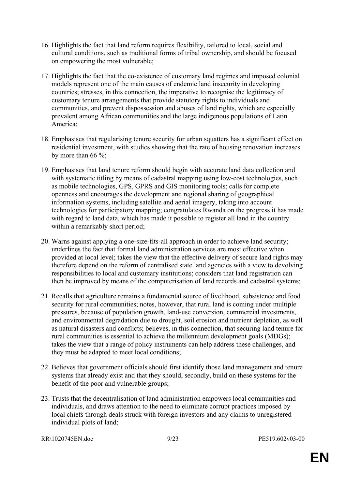- 16. Highlights the fact that land reform requires flexibility, tailored to local, social and cultural conditions, such as traditional forms of tribal ownership, and should be focused on empowering the most vulnerable;
- 17. Highlights the fact that the co-existence of customary land regimes and imposed colonial models represent one of the main causes of endemic land insecurity in developing countries; stresses, in this connection, the imperative to recognise the legitimacy of customary tenure arrangements that provide statutory rights to individuals and communities, and prevent dispossession and abuses of land rights, which are especially prevalent among African communities and the large indigenous populations of Latin America;
- 18. Emphasises that regularising tenure security for urban squatters has a significant effect on residential investment, with studies showing that the rate of housing renovation increases by more than 66  $\%$ ;
- 19. Emphasises that land tenure reform should begin with accurate land data collection and with systematic titling by means of cadastral mapping using low-cost technologies, such as mobile technologies, GPS, GPRS and GIS monitoring tools; calls for complete openness and encourages the development and regional sharing of geographical information systems, including satellite and aerial imagery, taking into account technologies for participatory mapping; congratulates Rwanda on the progress it has made with regard to land data, which has made it possible to register all land in the country within a remarkably short period;
- 20. Warns against applying a one-size-fits-all approach in order to achieve land security; underlines the fact that formal land administration services are most effective when provided at local level; takes the view that the effective delivery of secure land rights may therefore depend on the reform of centralised state land agencies with a view to devolving responsibilities to local and customary institutions; considers that land registration can then be improved by means of the computerisation of land records and cadastral systems;
- 21. Recalls that agriculture remains a fundamental source of livelihood, subsistence and food security for rural communities; notes, however, that rural land is coming under multiple pressures, because of population growth, land-use conversion, commercial investments, and environmental degradation due to drought, soil erosion and nutrient depletion, as well as natural disasters and conflicts; believes, in this connection, that securing land tenure for rural communities is essential to achieve the millennium development goals (MDGs); takes the view that a range of policy instruments can help address these challenges, and they must be adapted to meet local conditions;
- 22. Believes that government officials should first identify those land management and tenure systems that already exist and that they should, secondly, build on these systems for the benefit of the poor and vulnerable groups;
- 23. Trusts that the decentralisation of land administration empowers local communities and individuals, and draws attention to the need to eliminate corrupt practices imposed by local chiefs through deals struck with foreign investors and any claims to unregistered individual plots of land;

RR\1020745EN.doc 9/23 PE519.602v03-00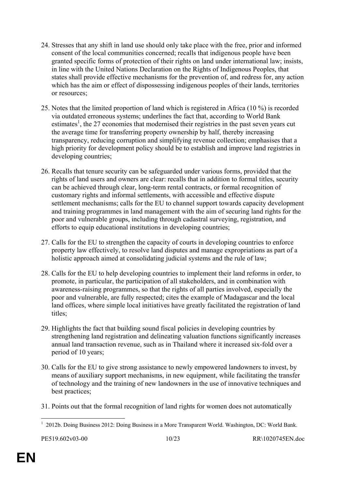- 24. Stresses that any shift in land use should only take place with the free, prior and informed consent of the local communities concerned; recalls that indigenous people have been granted specific forms of protection of their rights on land under international law; insists, in line with the United Nations Declaration on the Rights of Indigenous Peoples, that states shall provide effective mechanisms for the prevention of, and redress for, any action which has the aim or effect of dispossessing indigenous peoples of their lands, territories or resources;
- 25. Notes that the limited proportion of land which is registered in Africa (10 %) is recorded via outdated erroneous systems; underlines the fact that, according to World Bank estimates<sup>1</sup>, the 27 economies that modernised their registries in the past seven years cut the average time for transferring property ownership by half, thereby increasing transparency, reducing corruption and simplifying revenue collection; emphasises that a high priority for development policy should be to establish and improve land registries in developing countries;
- 26. Recalls that tenure security can be safeguarded under various forms, provided that the rights of land users and owners are clear: recalls that in addition to formal titles, security can be achieved through clear, long-term rental contracts, or formal recognition of customary rights and informal settlements, with accessible and effective dispute settlement mechanisms; calls for the EU to channel support towards capacity development and training programmes in land management with the aim of securing land rights for the poor and vulnerable groups, including through cadastral surveying, registration, and efforts to equip educational institutions in developing countries;
- 27. Calls for the EU to strengthen the capacity of courts in developing countries to enforce property law effectively, to resolve land disputes and manage expropriations as part of a holistic approach aimed at consolidating judicial systems and the rule of law;
- 28. Calls for the EU to help developing countries to implement their land reforms in order, to promote, in particular, the participation of all stakeholders, and in combination with awareness-raising programmes, so that the rights of all parties involved, especially the poor and vulnerable, are fully respected; cites the example of Madagascar and the local land offices, where simple local initiatives have greatly facilitated the registration of land titles;
- 29. Highlights the fact that building sound fiscal policies in developing countries by strengthening land registration and delineating valuation functions significantly increases annual land transaction revenue, such as in Thailand where it increased six-fold over a period of 10 years;
- 30. Calls for the EU to give strong assistance to newly empowered landowners to invest, by means of auxiliary support mechanisms, in new equipment, while facilitating the transfer of technology and the training of new landowners in the use of innovative techniques and best practices;
- 31. Points out that the formal recognition of land rights for women does not automatically

<sup>1</sup> <sup>1</sup> 2012b. Doing Business 2012: Doing Business in a More Transparent World. Washington, DC: World Bank.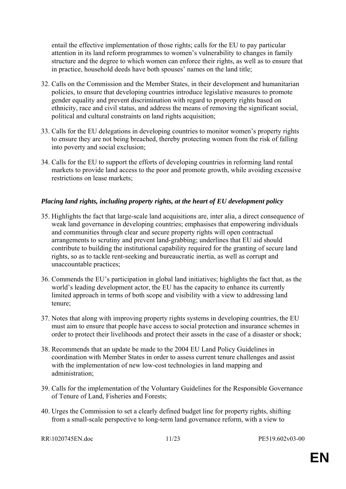entail the effective implementation of those rights; calls for the EU to pay particular attention in its land reform programmes to women's vulnerability to changes in family structure and the degree to which women can enforce their rights, as well as to ensure that in practice, household deeds have both spouses' names on the land title;

- 32. Calls on the Commission and the Member States, in their development and humanitarian policies, to ensure that developing countries introduce legislative measures to promote gender equality and prevent discrimination with regard to property rights based on ethnicity, race and civil status, and address the means of removing the significant social, political and cultural constraints on land rights acquisition;
- 33. Calls for the EU delegations in developing countries to monitor women's property rights to ensure they are not being breached, thereby protecting women from the risk of falling into poverty and social exclusion;
- 34. Calls for the EU to support the efforts of developing countries in reforming land rental markets to provide land access to the poor and promote growth, while avoiding excessive restrictions on lease markets;

#### *Placing land rights, including property rights, at the heart of EU development policy*

- 35. Highlights the fact that large-scale land acquisitions are, inter alia, a direct consequence of weak land governance in developing countries; emphasises that empowering individuals and communities through clear and secure property rights will open contractual arrangements to scrutiny and prevent land-grabbing; underlines that EU aid should contribute to building the institutional capability required for the granting of secure land rights, so as to tackle rent-seeking and bureaucratic inertia, as well as corrupt and unaccountable practices;
- 36. Commends the EU's participation in global land initiatives; highlights the fact that, as the world's leading development actor, the EU has the capacity to enhance its currently limited approach in terms of both scope and visibility with a view to addressing land tenure;
- 37. Notes that along with improving property rights systems in developing countries, the EU must aim to ensure that people have access to social protection and insurance schemes in order to protect their livelihoods and protect their assets in the case of a disaster or shock;
- 38. Recommends that an update be made to the 2004 EU Land Policy Guidelines in coordination with Member States in order to assess current tenure challenges and assist with the implementation of new low-cost technologies in land mapping and administration;
- 39. Calls for the implementation of the Voluntary Guidelines for the Responsible Governance of Tenure of Land, Fisheries and Forests;
- 40. Urges the Commission to set a clearly defined budget line for property rights, shifting from a small-scale perspective to long-term land governance reform, with a view to

RR\1020745EN.doc 11/23 PE519.602v03-00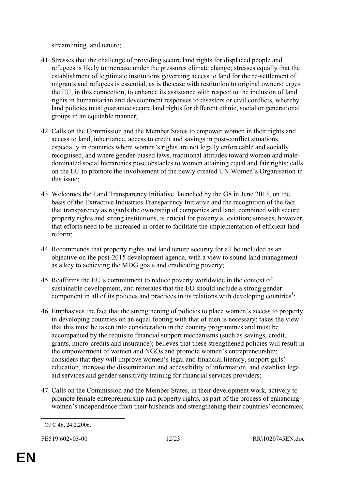streamlining land tenure;

- 41. Stresses that the challenge of providing secure land rights for displaced people and refugees is likely to increase under the pressures climate change; stresses equally that the establishment of legitimate institutions governing access to land for the re-settlement of migrants and refugees is essential, as is the case with restitution to original owners; urges the EU, in this connection, to enhance its assistance with respect to the inclusion of land rights in humanitarian and development responses to disasters or civil conflicts, whereby land policies must guarantee secure land rights for different ethnic, social or generational groups in an equitable manner;
- 42. Calls on the Commission and the Member States to empower women in their rights and access to land, inheritance, access to credit and savings in post-conflict situations, especially in countries where women's rights are not legally enforceable and socially recognised, and where gender-biased laws, traditional attitudes toward women and maledominated social hierarchies pose obstacles to women attaining equal and fair rights; calls on the EU to promote the involvement of the newly created UN Women's Organisation in this issue;
- 43. Welcomes the Land Transparency Initiative, launched by the G8 in June 2013, on the basis of the Extractive Industries Transparency Initiative and the recognition of the fact that transparency as regards the ownership of companies and land, combined with secure property rights and strong institutions, is crucial for poverty alleviation; stresses, however, that efforts need to be increased in order to facilitate the implementation of efficient land reform;
- 44. Recommends that property rights and land tenure security for all be included as an objective on the post-2015 development agenda, with a view to sound land management as a key to achieving the MDG goals and eradicating poverty;
- 45. Reaffirms the EU's commitment to reduce poverty worldwide in the context of sustainable development, and reiterates that the EU should include a strong gender component in all of its policies and practices in its relations with developing countries<sup>1</sup>;
- 46. Emphasises the fact that the strengthening of policies to place women's access to property in developing countries on an equal footing with that of men is necessary; takes the view that this must be taken into consideration in the country programmes and must be accompanied by the requisite financial support mechanisms (such as savings, credit, grants, micro-credits and insurance); believes that these strengthened policies will result in the empowerment of women and NGOs and promote women's entrepreneurship; considers that they will improve women's legal and financial literacy, support girls' education, increase the dissemination and accessibility of information, and establish legal aid services and gender-sensitivity training for financial services providers;
- 47. Calls on the Commission and the Member States, in their development work, actively to promote female entrepreneurship and property rights, as part of the process of enhancing women's independence from their husbands and strengthening their countries' economies;

<sup>1</sup>  $1$  OJ C 46, 24.2.2006.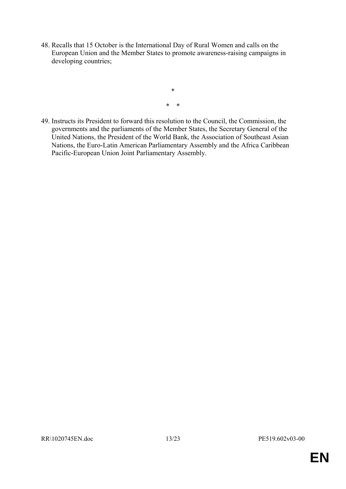48. Recalls that 15 October is the International Day of Rural Women and calls on the European Union and the Member States to promote awareness-raising campaigns in developing countries;

> \* \* \*

49. Instructs its President to forward this resolution to the Council, the Commission, the governments and the parliaments of the Member States, the Secretary General of the United Nations, the President of the World Bank, the Association of Southeast Asian Nations, the Euro-Latin American Parliamentary Assembly and the Africa Caribbean Pacific-European Union Joint Parliamentary Assembly.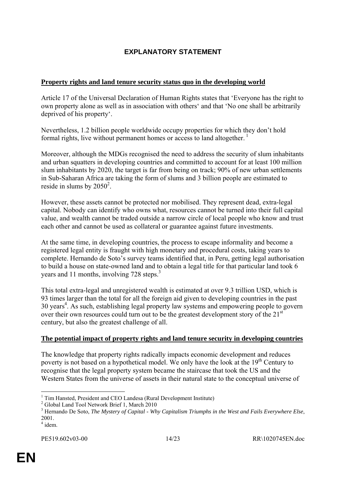# **EXPLANATORY STATEMENT**

#### **Property rights and land tenure security status quo in the developing world**

Article 17 of the Universal Declaration of Human Rights states that 'Everyone has the right to own property alone as well as in association with others' and that 'No one shall be arbitrarily deprived of his property'.

Nevertheless, 1.2 billion people worldwide occupy properties for which they don't hold formal rights, live without permanent homes or access to land altogether.<sup>1</sup>

Moreover, although the MDGs recognised the need to address the security of slum inhabitants and urban squatters in developing countries and committed to account for at least 100 million slum inhabitants by 2020, the target is far from being on track; 90% of new urban settlements in Sub-Saharan Africa are taking the form of slums and 3 billion people are estimated to reside in slums by  $2050^2$ .

However, these assets cannot be protected nor mobilised. They represent dead, extra-legal capital. Nobody can identify who owns what, resources cannot be turned into their full capital value, and wealth cannot be traded outside a narrow circle of local people who know and trust each other and cannot be used as collateral or guarantee against future investments.

At the same time, in developing countries, the process to escape informality and become a registered legal entity is fraught with high monetary and procedural costs, taking years to complete. Hernando de Soto's survey teams identified that, in Peru, getting legal authorisation to build a house on state-owned land and to obtain a legal title for that particular land took 6 years and 11 months, involving 728 steps.<sup>3</sup>

This total extra-legal and unregistered wealth is estimated at over 9.3 trillion USD, which is 93 times larger than the total for all the foreign aid given to developing countries in the past 30 years<sup>4</sup>. As such, establishing legal property law systems and empowering people to govern over their own resources could turn out to be the greatest development story of the 21<sup>st</sup> century, but also the greatest challenge of all.

#### **The potential impact of property rights and land tenure security in developing countries**

The knowledge that property rights radically impacts economic development and reduces poverty is not based on a hypothetical model. We only have the look at the 19<sup>th</sup> Century to recognise that the legal property system became the staircase that took the US and the Western States from the universe of assets in their natural state to the conceptual universe of

 1 Tim Hansted, President and CEO Landesa (Rural Development Institute)

<sup>&</sup>lt;sup>2</sup> Global Land Tool Network Brief 1, March 2010

<sup>3</sup> Hernando De Soto, *The Mystery of Capital - Why Capitalism Triumphs in the West and Fails Everywhere Else*, 2001.

 $4$  idem.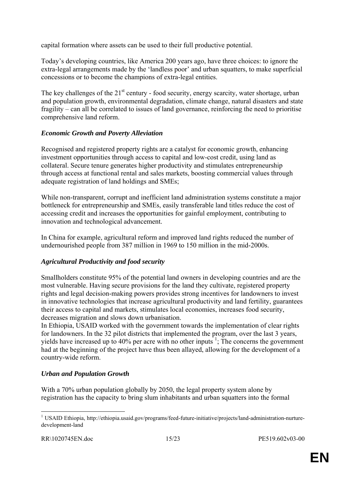capital formation where assets can be used to their full productive potential.

Today's developing countries, like America 200 years ago, have three choices: to ignore the extra-legal arrangements made by the 'landless poor' and urban squatters, to make superficial concessions or to become the champions of extra-legal entities.

The key challenges of the  $21<sup>st</sup>$  century - food security, energy scarcity, water shortage, urban and population growth, environmental degradation, climate change, natural disasters and state fragility – can all be correlated to issues of land governance, reinforcing the need to prioritise comprehensive land reform.

#### *Economic Growth and Poverty Alleviation*

Recognised and registered property rights are a catalyst for economic growth, enhancing investment opportunities through access to capital and low-cost credit, using land as collateral. Secure tenure generates higher productivity and stimulates entrepreneurship through access at functional rental and sales markets, boosting commercial values through adequate registration of land holdings and SMEs;

While non-transparent, corrupt and inefficient land administration systems constitute a major bottleneck for entrepreneurship and SMEs, easily transferable land titles reduce the cost of accessing credit and increases the opportunities for gainful employment, contributing to innovation and technological advancement.

In China for example, agricultural reform and improved land rights reduced the number of undernourished people from 387 million in 1969 to 150 million in the mid-2000s.

#### *Agricultural Productivity and food security*

Smallholders constitute 95% of the potential land owners in developing countries and are the most vulnerable. Having secure provisions for the land they cultivate, registered property rights and legal decision-making powers provides strong incentives for landowners to invest in innovative technologies that increase agricultural productivity and land fertility, guarantees their access to capital and markets, stimulates local economies, increases food security, decreases migration and slows down urbanisation.

In Ethiopia, USAID worked with the government towards the implementation of clear rights for landowners. In the 32 pilot districts that implemented the program, over the last 3 years, yields have increased up to  $40\%$  per acre with no other inputs<sup>1</sup>; The concerns the government had at the beginning of the project have thus been allayed, allowing for the development of a country-wide reform.

#### *Urban and Population Growth*

With a 70% urban population globally by 2050, the legal property system alone by registration has the capacity to bring slum inhabitants and urban squatters into the formal

<u>.</u>

<sup>&</sup>lt;sup>1</sup> USAID Ethiopia, http://ethiopia.usaid.gov/programs/feed-future-initiative/projects/land-administration-nurturedevelopment-land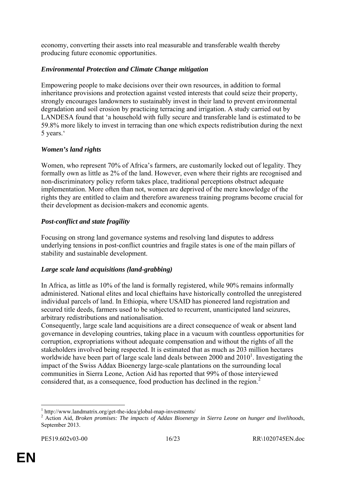economy, converting their assets into real measurable and transferable wealth thereby producing future economic opportunities.

#### *Environmental Protection and Climate Change mitigation*

Empowering people to make decisions over their own resources, in addition to formal inheritance provisions and protection against vested interests that could seize their property, strongly encourages landowners to sustainably invest in their land to prevent environmental degradation and soil erosion by practicing terracing and irrigation. A study carried out by LANDESA found that 'a household with fully secure and transferable land is estimated to be 59.8% more likely to invest in terracing than one which expects redistribution during the next 5 years.'

#### *Women's land rights*

Women, who represent 70% of Africa's farmers, are customarily locked out of legality. They formally own as little as 2% of the land. However, even where their rights are recognised and non-discriminatory policy reform takes place, traditional perceptions obstruct adequate implementation. More often than not, women are deprived of the mere knowledge of the rights they are entitled to claim and therefore awareness training programs become crucial for their development as decision-makers and economic agents.

#### *Post-conflict and state fragility*

Focusing on strong land governance systems and resolving land disputes to address underlying tensions in post-conflict countries and fragile states is one of the main pillars of stability and sustainable development.

#### *Large scale land acquisitions (land-grabbing)*

In Africa, as little as 10% of the land is formally registered, while 90% remains informally administered. National elites and local chieftains have historically controlled the unregistered individual parcels of land. In Ethiopia, where USAID has pioneered land registration and secured title deeds, farmers used to be subjected to recurrent, unanticipated land seizures, arbitrary redistributions and nationalisation.

Consequently, large scale land acquisitions are a direct consequence of weak or absent land governance in developing countries, taking place in a vacuum with countless opportunities for corruption, expropriations without adequate compensation and without the rights of all the stakeholders involved being respected. It is estimated that as much as 203 million hectares worldwide have been part of large scale land deals between  $2000$  and  $2010<sup>1</sup>$ . Investigating the impact of the Swiss Addax Bioenergy large-scale plantations on the surrounding local communities in Sierra Leone, Action Aid has reported that 99% of those interviewed considered that, as a consequence, food production has declined in the region.<sup>2</sup>

1

<sup>&</sup>lt;sup>1</sup> http://www.landmatrix.org/get-the-idea/global-map-investments/<br> $\frac{2}{3}$  Action Aid Buckey promises: The impacts of Adday Biography

<sup>&</sup>lt;sup>2</sup> Action Aid, *Broken promises: The impacts of Addax Bioenergy in Sierra Leone on hunger and livelihoods,* September 2013.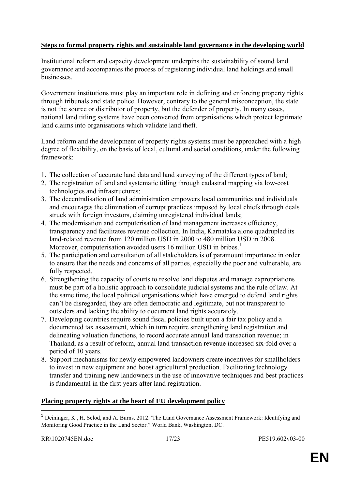#### **Steps to formal property rights and sustainable land governance in the developing world**

Institutional reform and capacity development underpins the sustainability of sound land governance and accompanies the process of registering individual land holdings and small businesses.

Government institutions must play an important role in defining and enforcing property rights through tribunals and state police. However, contrary to the general misconception, the state is not the source or distributor of property, but the defender of property. In many cases, national land titling systems have been converted from organisations which protect legitimate land claims into organisations which validate land theft.

Land reform and the development of property rights systems must be approached with a high degree of flexibility, on the basis of local, cultural and social conditions, under the following framework:

- 1. The collection of accurate land data and land surveying of the different types of land;
- 2. The registration of land and systematic titling through cadastral mapping via low-cost technologies and infrastructures;
- 3. The decentralisation of land administration empowers local communities and individuals and encourages the elimination of corrupt practices imposed by local chiefs through deals struck with foreign investors, claiming unregistered individual lands;
- 4. The modernisation and computerisation of land management increases efficiency, transparency and facilitates revenue collection. In India, Karnataka alone quadrupled its land-related revenue from 120 million USD in 2000 to 480 million USD in 2008. Moreover, computerisation avoided users 16 million USD in bribes.<sup>1</sup>
- 5. The participation and consultation of all stakeholders is of paramount importance in order to ensure that the needs and concerns of all parties, especially the poor and vulnerable, are fully respected.
- 6. Strengthening the capacity of courts to resolve land disputes and manage expropriations must be part of a holistic approach to consolidate judicial systems and the rule of law. At the same time, the local political organisations which have emerged to defend land rights can't be disregarded, they are often democratic and legitimate, but not transparent to outsiders and lacking the ability to document land rights accurately.
- 7. Developing countries require sound fiscal policies built upon a fair tax policy and a documented tax assessment, which in turn require strengthening land registration and delineating valuation functions, to record accurate annual land transaction revenue; in Thailand, as a result of reform, annual land transaction revenue increased six-fold over a period of 10 years.
- 8. Support mechanisms for newly empowered landowners create incentives for smallholders to invest in new equipment and boost agricultural production. Facilitating technology transfer and training new landowners in the use of innovative techniques and best practices is fundamental in the first years after land registration.

#### **Placing property rights at the heart of EU development policy**

<u>.</u>

<sup>&</sup>lt;sup>1</sup> Deininger, K., H. Selod, and A. Burns. 2012. 'The Land Governance Assessment Framework: Identifying and Monitoring Good Practice in the Land Sector." World Bank, Washington, DC.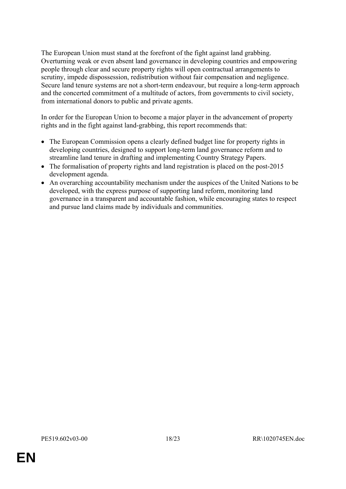The European Union must stand at the forefront of the fight against land grabbing. Overturning weak or even absent land governance in developing countries and empowering people through clear and secure property rights will open contractual arrangements to scrutiny, impede dispossession, redistribution without fair compensation and negligence. Secure land tenure systems are not a short-term endeavour, but require a long-term approach and the concerted commitment of a multitude of actors, from governments to civil society, from international donors to public and private agents.

In order for the European Union to become a major player in the advancement of property rights and in the fight against land-grabbing, this report recommends that:

- The European Commission opens a clearly defined budget line for property rights in developing countries, designed to support long-term land governance reform and to streamline land tenure in drafting and implementing Country Strategy Papers.
- The formalisation of property rights and land registration is placed on the post-2015 development agenda.
- An overarching accountability mechanism under the auspices of the United Nations to be developed, with the express purpose of supporting land reform, monitoring land governance in a transparent and accountable fashion, while encouraging states to respect and pursue land claims made by individuals and communities.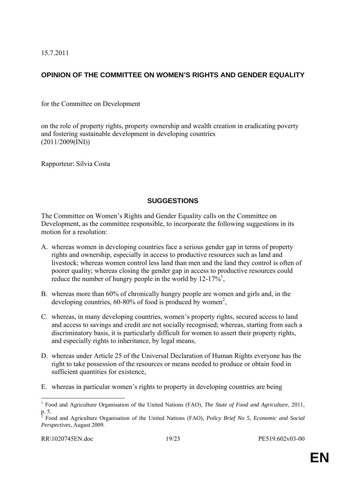15.7.2011

# **OPINION OF THE COMMITTEE ON WOMEN'S RIGHTS AND GENDER EQUALITY**

for the Committee on Development

on the role of property rights, property ownership and wealth creation in eradicating poverty and fostering sustainable development in developing countries (2011/2009(INI))

Rapporteur: Silvia Costa

### **SUGGESTIONS**

The Committee on Women's Rights and Gender Equality calls on the Committee on Development, as the committee responsible, to incorporate the following suggestions in its motion for a resolution:

- A. whereas women in developing countries face a serious gender gap in terms of property rights and ownership, especially in access to productive resources such as land and livestock; whereas women control less land than men and the land they control is often of poorer quality; whereas closing the gender gap in access to productive resources could reduce the number of hungry people in the world by  $12-17\frac{1}{6}$ ,
- B. whereas more than 60% of chronically hungry people are women and girls and, in the developing countries,  $60-80\%$  of food is produced by women<sup>2</sup>,
- C. whereas, in many developing countries, women's property rights, secured access to land and access to savings and credit are not socially recognised; whereas, starting from such a discriminatory basis, it is particularly difficult for women to assert their property rights, and especially rights to inheritance, by legal means,
- D. whereas under Article 25 of the Universal Declaration of Human Rights everyone has the right to take possession of the resources or means needed to produce or obtain food in sufficient quantities for existence,
- E. whereas in particular women's rights to property in developing countries are being

 1 Food and Agriculture Organisation of the United Nations (FAO), *The State of Food and Agriculture*, 2011,  $\frac{p}{2}$ . E<sub>24</sub>

Food and Agriculture Organisation of the United Nations (FAO)*, Policy Brief No 5, Economic and Social Perspectives,* August 2009*.*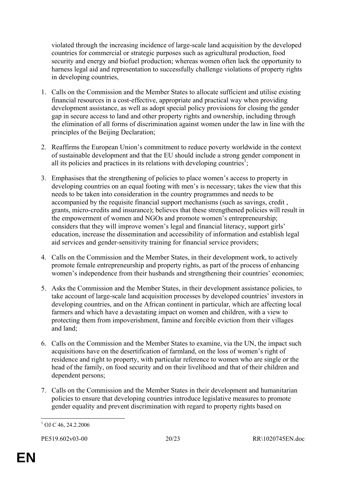violated through the increasing incidence of large-scale land acquisition by the developed countries for commercial or strategic purposes such as agricultural production, food security and energy and biofuel production; whereas women often lack the opportunity to harness legal aid and representation to successfully challenge violations of property rights in developing countries,

- 1. Calls on the Commission and the Member States to allocate sufficient and utilise existing financial resources in a cost-effective, appropriate and practical way when providing development assistance, as well as adopt special policy provisions for closing the gender gap in secure access to land and other property rights and ownership, including through the elimination of all forms of discrimination against women under the law in line with the principles of the Beijing Declaration;
- 2. Reaffirms the European Union's commitment to reduce poverty worldwide in the context of sustainable development and that the EU should include a strong gender component in all its policies and practices in its relations with developing countries<sup>1</sup>;
- 3. Emphasises that the strengthening of policies to place women's access to property in developing countries on an equal footing with men's is necessary; takes the view that this needs to be taken into consideration in the country programmes and needs to be accompanied by the requisite financial support mechanisms (such as savings, credit , grants, micro-credits and insurance); believes that these strengthened policies will result in the empowerment of women and NGOs and promote women's entrepreneurship; considers that they will improve women's legal and financial literacy, support girls' education, increase the dissemination and accessibility of information and establish legal aid services and gender-sensitivity training for financial service providers;
- 4. Calls on the Commission and the Member States, in their development work, to actively promote female entrepreneurship and property rights, as part of the process of enhancing women's independence from their husbands and strengthening their countries' economies;
- 5. Asks the Commission and the Member States, in their development assistance policies, to take account of large-scale land acquisition processes by developed countries' investors in developing countries, and on the African continent in particular, which are affecting local farmers and which have a devastating impact on women and children, with a view to protecting them from impoverishment, famine and forcible eviction from their villages and land;
- 6. Calls on the Commission and the Member States to examine, via the UN, the impact such acquisitions have on the desertification of farmland, on the loss of women's right of residence and right to property, with particular reference to women who are single or the head of the family, on food security and on their livelihood and that of their children and dependent persons;
- 7. Calls on the Commission and the Member States in their development and humanitarian policies to ensure that developing countries introduce legislative measures to promote gender equality and prevent discrimination with regard to property rights based on

<sup>1</sup>  $1$  OJ C 46, 24.2.2006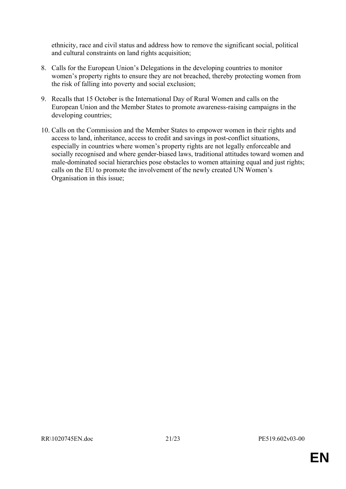ethnicity, race and civil status and address how to remove the significant social, political and cultural constraints on land rights acquisition;

- 8. Calls for the European Union's Delegations in the developing countries to monitor women's property rights to ensure they are not breached, thereby protecting women from the risk of falling into poverty and social exclusion;
- 9. Recalls that 15 October is the International Day of Rural Women and calls on the European Union and the Member States to promote awareness-raising campaigns in the developing countries;
- 10. Calls on the Commission and the Member States to empower women in their rights and access to land, inheritance, access to credit and savings in post-conflict situations, especially in countries where women's property rights are not legally enforceable and socially recognised and where gender-biased laws, traditional attitudes toward women and male-dominated social hierarchies pose obstacles to women attaining equal and just rights; calls on the EU to promote the involvement of the newly created UN Women's Organisation in this issue;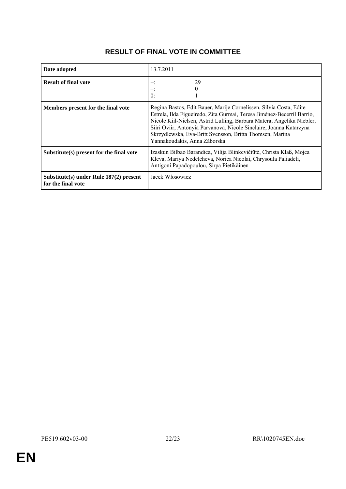|--|

| Date adopted                                                  | 13.7.2011                                                                                                                                                                                                                                                                                                                                                                                 |
|---------------------------------------------------------------|-------------------------------------------------------------------------------------------------------------------------------------------------------------------------------------------------------------------------------------------------------------------------------------------------------------------------------------------------------------------------------------------|
| <b>Result of final vote</b>                                   | 29<br>$\pm$<br>$\theta$                                                                                                                                                                                                                                                                                                                                                                   |
| Members present for the final vote                            | Regina Bastos, Edit Bauer, Marije Cornelissen, Silvia Costa, Edite<br>Estrela, Ilda Figueiredo, Zita Gurmai, Teresa Jiménez-Becerril Barrio,<br>Nicole Kiil-Nielsen, Astrid Lulling, Barbara Matera, Angelika Niebler,<br>Siiri Oviir, Antonyia Parvanova, Nicole Sinclaire, Joanna Katarzyna<br>Skrzydlewska, Eva-Britt Svensson, Britta Thomsen, Marina<br>Yannakoudakis, Anna Záborská |
| Substitute(s) present for the final vote                      | Izaskun Bilbao Barandica, Vilija Blinkevičiūtė, Christa Klaß, Mojca<br>Kleva, Mariya Nedelcheva, Norica Nicolai, Chrysoula Paliadeli,<br>Antigoni Papadopoulou, Sirpa Pietikäinen                                                                                                                                                                                                         |
| Substitute(s) under Rule 187(2) present<br>for the final vote | Jacek Włosowicz                                                                                                                                                                                                                                                                                                                                                                           |